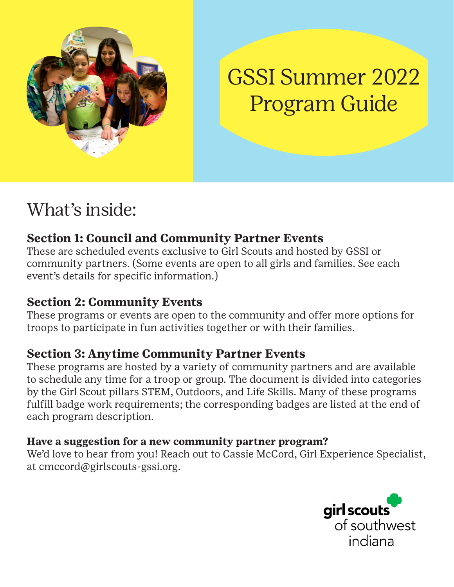

# GSSI Summer 2022 Program Guide

## What's inside:

### **Section 1: Council and Community Partner Events**

These are scheduled events exclusive to Girl Scouts and hosted by GSSI or community partners. (Some events are open to all girls and families. See each event's details for specific information.)

### **Section 2: Community Events**

These programs or events are open to the community and offer more options for troops to participate in fun activities together or with their families.

### **Section 3: Anytime Community Partner Events**

These programs are hosted by a variety of community partners and are available to schedule any time for a troop or group. The document is divided into categories by the Girl Scout pillars STEM, Outdoors, and Life Skills. Many of these programs fulfill badge work requirements; the corresponding badges are listed at the end of each program description.

### **Have a suggestion for a new community partner program?**

We'd love to hear from you! Reach out to Cassie McCord, Girl Experience Specialist, at cmccord@girlscouts-gssi.org.

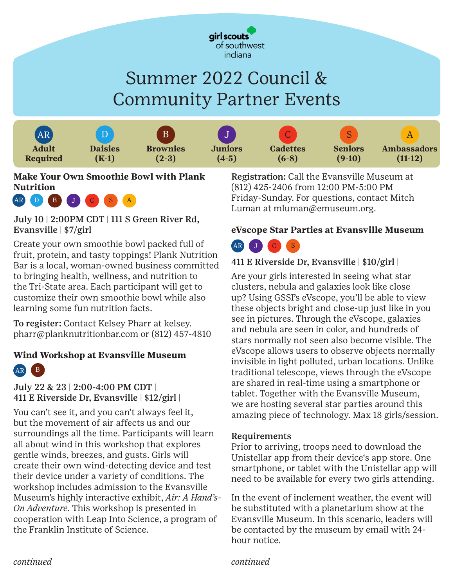

## Summer 2022 Council & Community Partner Events



**Make Your Own Smoothie Bowl with Plank Nutrition**



July 10 | 2:00PM CDT | 111 S Green River Rd, Evansville | \$7/girl

Create your own smoothie bowl packed full of fruit, protein, and tasty toppings! Plank Nutrition Bar is a local, woman-owned business committed to bringing health, wellness, and nutrition to the Tri-State area. Each participant will get to customize their own smoothie bowl while also learning some fun nutrition facts.

To register: Contact Kelsey Pharr at kelsey. pharr@planknutritionbar.com or (812) 457-4810

### **Wind Workshop at Evansville Museum**



### July 22 & 23 | 2:00-4:00 PM CDT | 411 E Riverside Dr, Evansville | \$12/girl |

You can't see it, and you can't always feel it, but the movement of air affects us and our surroundings all the time. Participants will learn all about wind in this workshop that explores gentle winds, breezes, and gusts. Girls will create their own wind-detecting device and test their device under a variety of conditions. The workshop includes admission to the Evansville Museum's highly interactive exhibit, *Air: A Hand's-On Adventure*. This workshop is presented in cooperation with Leap Into Science, a program of the Franklin Institute of Science.

Registration: Call the Evansville Museum at (812) 425-2406 from 12:00 PM-5:00 PM Friday-Sunday. For questions, contact Mitch Luman at mluman@emuseum.org.

### **eVscope Star Parties at Evansville Museum**



### 411 E Riverside Dr, Evansville | \$10/girl |

Are your girls interested in seeing what star clusters, nebula and galaxies look like close up? Using GSSI's eVscope, you'll be able to view these objects bright and close-up just like in you see in pictures. Through the eVscope, galaxies and nebula are seen in color, and hundreds of stars normally not seen also become visible. The eVscope allows users to observe objects normally invisible in light polluted, urban locations. Unlike traditional telescope, views through the eVscope are shared in real-time using a smartphone or tablet. Together with the Evansville Museum, we are hosting several star parties around this amazing piece of technology. Max 18 girls/session.

#### Requirements

Prior to arriving, troops need to download the Unistellar app from their device's app store. One smartphone, or tablet with the Unistellar app will need to be available for every two girls attending.

In the event of inclement weather, the event will be substituted with a planetarium show at the Evansville Museum. In this scenario, leaders will be contacted by the museum by email with 24 hour notice.

*continued*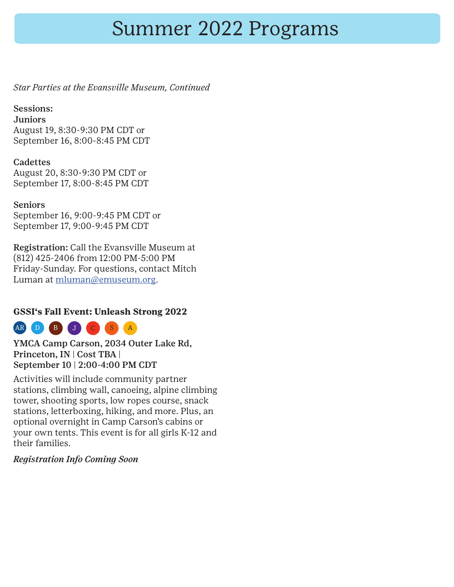## Summer 2022 Programs

*Star Parties at the Evansville Museum, Continued*

### Sessions:

**Juniors** August 19, 8:30-9:30 PM CDT or September 16, 8:00-8:45 PM CDT

### **Cadettes**

August 20, 8:30-9:30 PM CDT or September 17, 8:00-8:45 PM CDT

### Seniors

September 16, 9:00-9:45 PM CDT or September 17, 9:00-9:45 PM CDT

Registration: Call the Evansville Museum at (812) 425-2406 from 12:00 PM-5:00 PM Friday-Sunday. For questions, contact Mitch Luman at [mluman@emuseum.org](mailto:mluman@emuseum.org).

### **GSSI's Fall Event: Unleash Strong 2022**



YMCA Camp Carson, 2034 Outer Lake Rd, Princeton, IN | Cost TBA | September 10 | 2:00-4:00 PM CDT

Activities will include community partner stations, climbing wall, canoeing, alpine climbing tower, shooting sports, low ropes course, snack stations, letterboxing, hiking, and more. Plus, an optional overnight in Camp Carson's cabins or your own tents. This event is for all girls K-12 and their families.

### *Registration Info Coming Soon*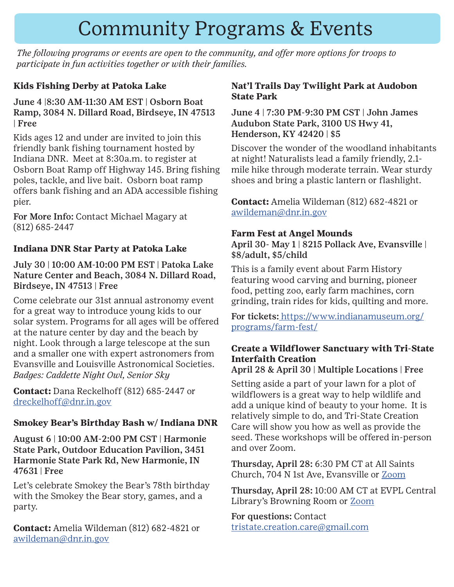## Community Programs & Events

*The following programs or events are open to the community, and offer more options for troops to participate in fun activities together or with their families.* 

### **Kids Fishing Derby at Patoka Lake**

June 4 |8:30 AM-11:30 AM EST | Osborn Boat Ramp, 3084 N. Dillard Road, Birdseye, IN 47513 | Free

Kids ages 12 and under are invited to join this friendly bank fishing tournament hosted by Indiana DNR. Meet at 8:30a.m. to register at Osborn Boat Ramp off Highway 145. Bring fishing poles, tackle, and live bait. Osborn boat ramp offers bank fishing and an ADA accessible fishing pier.

For More Info: Contact Michael Magary at (812) 685-2447

### **Indiana DNR Star Party at Patoka Lake**

July 30 | 10:00 AM-10:00 PM EST | Patoka Lake Nature Center and Beach, 3084 N. Dillard Road, Birdseye, IN 47513 | Free

Come celebrate our 31st annual astronomy event for a great way to introduce young kids to our solar system. Programs for all ages will be offered at the nature center by day and the beach by night. Look through a large telescope at the sun and a smaller one with expert astronomers from Evansville and Louisville Astronomical Societies. *Badges: Caddette Night Owl, Senior Sky*

**Contact:** Dana Reckelhoff (812) 685-2447 or [dreckelhoff@dnr.in.gov](mailto:dreckelhoff@dnr.in.gov)

### **Smokey Bear's Birthday Bash w/ Indiana DNR**

August 6 | 10:00 AM-2:00 PM CST | Harmonie State Park, Outdoor Education Pavilion, 3451 Harmonie State Park Rd, New Harmonie, IN 47631 | Free

Let's celebrate Smokey the Bear's 78th birthday with the Smokey the Bear story, games, and a party.

**Contact:** Amelia Wildeman (812) 682-4821 or [awildeman@dnr.in.gov](mailto:awildeman@dnr.in.gov)

### **Nat'l Trails Day Twilight Park at Audobon State Park**

June 4 | 7:30 PM-9:30 PM CST | John James Audubon State Park, 3100 US Hwy 41, Henderson, KY 42420 | \$5

Discover the wonder of the woodland inhabitants at night! Naturalists lead a family friendly, 2.1 mile hike through moderate terrain. Wear sturdy shoes and bring a plastic lantern or flashlight.

**Contact:** Amelia Wildeman (812) 682-4821 or [awildeman@dnr.in.gov](mailto:awildeman@dnr.in.gov)

### **Farm Fest at Angel Mounds**

April 30- May 1 | 8215 Pollack Ave, Evansville | \$8/adult, \$5/child

This is a family event about Farm History featuring wood carving and burning, pioneer food, petting zoo, early farm machines, corn grinding, train rides for kids, quilting and more.

For tickets: [https://www.indianamuseum.org/]( https://www.indianamuseum.org/programs/farm-fest/) [programs/farm-fest/]( https://www.indianamuseum.org/programs/farm-fest/)

### **Create a Wildflower Sanctuary with Tri-State Interfaith Creation**

### April 28 & April 30 | Multiple Locations | Free

Setting aside a part of your lawn for a plot of wildflowers is a great way to help wildlife and add a unique kind of beauty to your home. It is relatively simple to do, and Tri-State Creation Care will show you how as well as provide the seed. These workshops will be offered in-person and over Zoom.

Thursday, April 28: 6:30 PM CT at All Saints Church, 704 N 1st Ave, Evansville or [Zoom](https://us06web.zoom.us/meeting/register/tZIldOqhqz8jHNTY8i-A2IrcQYhJ8He-CsaG)

Thursday, April 28: 10:00 AM CT at EVPL Central Library's Browning Room or [Zoom](https://us06web.zoom.us/meeting/register/tZwvd-mppjIrHdTIrCZdmzR3uTj6UsebhJCz)

For questions: Contact tristate.creation.care@gmail.com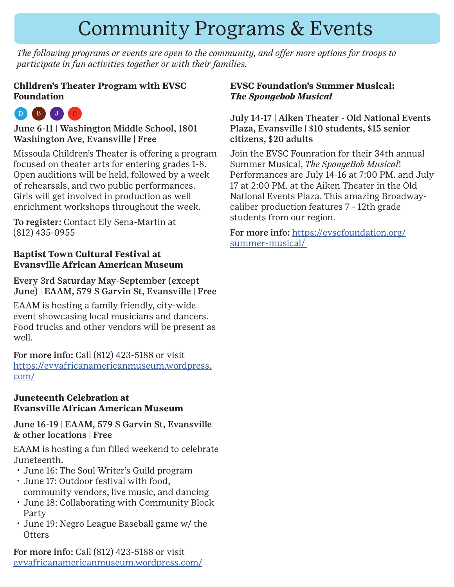## Community Programs & Events

*The following programs or events are open to the community, and offer more options for troops to participate in fun activities together or with their families.* 

### **Children's Theater Program with EVSC Foundation**

### $D$   $B$   $J$

June 6-11 | Washington Middle School, 1801 Washington Ave, Evansville | Free

Missoula Children's Theater is offering a program focused on theater arts for entering grades 1-8. Open auditions will be held, followed by a week of rehearsals, and two public performances. Girls will get involved in production as well enrichment workshops throughout the week.

To register: Contact Ely Sena-Martin at (812) 435-0955

### **Baptist Town Cultural Festival at Evansville African American Museum**

Every 3rd Saturday May-September (except June) | EAAM, 579 S Garvin St, Evansville | Free

EAAM is hosting a family friendly, city-wide event showcasing local musicians and dancers. Food trucks and other vendors will be present as well.

For more info: Call (812) 423-5188 or visit [https://evvafricanamericanmuseum.wordpress.](https://evvafricanamericanmuseum.wordpress.com/) [com/](https://evvafricanamericanmuseum.wordpress.com/)

#### **Juneteenth Celebration at Evansville African American Museum**

June 16-19 | EAAM, 579 S Garvin St, Evansville & other locations | Free

EAAM is hosting a fun filled weekend to celebrate Juneteenth.

- June 16: The Soul Writer's Guild program
- June 17: Outdoor festival with food, community vendors, live music, and dancing
- June 18: Collaborating with Community Block Party
- June 19: Negro League Baseball game w/ the **Otters**

For more info: Call (812) 423-5188 or visit [evvafricanamericanmuseum.wordpress.com/](https://evvafricanamericanmuseum.wordpress.com/)

### **EVSC Foundation's Summer Musical:**  *The Spongebob Musical*

#### July 14-17 | Aiken Theater - Old National Events Plaza, Evansville | \$10 students, \$15 senior citizens, \$20 adults

Join the EVSC Founration for their 34th annual Summer Musical, *The SpongeBob Musical*! Performances are July 14-16 at 7:00 PM. and July 17 at 2:00 PM. at the Aiken Theater in the Old National Events Plaza. This amazing Broadwaycaliber production features 7 - 12th grade students from our region.

For more info: [https://evscfoundation.org/](https://evscfoundation.org/summer-musical/ ) [summer-musical/](https://evscfoundation.org/summer-musical/ )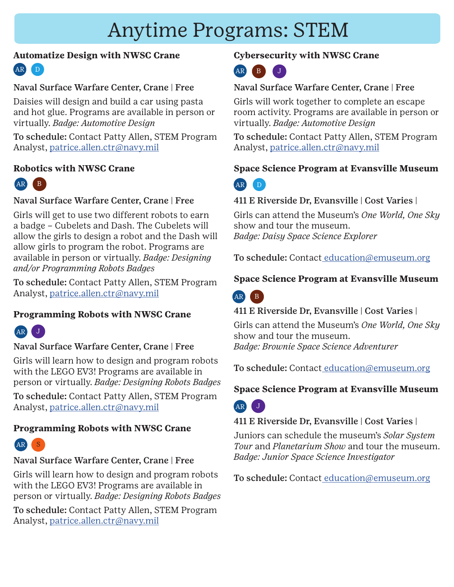## Anytime Programs: STEM

### **Automatize Design with NWSC Crane**

### Naval Surface Warfare Center, Crane | Free

Daisies will design and build a car using pasta and hot glue. Programs are available in person or virtually. *Badge: Automotive Design*

To schedule: Contact Patty Allen, STEM Program Analyst, [patrice.allen.ctr@navy.mil](mailto:patrice.allen.ctr@navy.mil)

### **Robotics with NWSC Crane**



### Naval Surface Warfare Center, Crane | Free

Girls will get to use two different robots to earn a badge – Cubelets and Dash. The Cubelets will allow the girls to design a robot and the Dash will allow girls to program the robot. Programs are available in person or virtually. *Badge: Designing and/or Programming Robots Badges*

To schedule: Contact Patty Allen, STEM Program Analyst, [patrice.allen.ctr@navy.mil](mailto:patrice.allen.ctr@navy.mil)

### **Programming Robots with NWSC Crane**



### Naval Surface Warfare Center, Crane | Free

Girls will learn how to design and program robots with the LEGO EV3! Programs are available in person or virtually. *Badge: Designing Robots Badges*

To schedule: Contact Patty Allen, STEM Program Analyst, [patrice.allen.ctr@navy.mil](mailto:patrice.allen.ctr@navy.mil)

### **Programming Robots with NWSC Crane**



### Naval Surface Warfare Center, Crane | Free

Girls will learn how to design and program robots with the LEGO EV3! Programs are available in person or virtually. *Badge: Designing Robots Badges*

To schedule: Contact Patty Allen, STEM Program Analyst, [patrice.allen.ctr@navy.mil](mailto:patrice.allen.ctr@navy.mil)

### **Cybersecurity with NWSC Crane**



### Naval Surface Warfare Center, Crane | Free

Girls will work together to complete an escape room activity. Programs are available in person or virtually. *Badge: Automotive Design*

To schedule: Contact Patty Allen, STEM Program Analyst, [patrice.allen.ctr@navy.mil](mailto:patrice.allen.ctr@navy.mil)

### **Space Science Program at Evansville Museum**



### 411 E Riverside Dr, Evansville | Cost Varies |

Girls can attend the Museum's *One World, One Sky*  show and tour the museum. *Badge: Daisy Space Science Explorer*

To schedule: Contac[t education@emuseum.org](mailto: education@emuseum.org)

### **Space Science Program at Evansville Museum**



### 411 E Riverside Dr, Evansville | Cost Varies |

Girls can attend the Museum's *One World, One Sky*  show and tour the museum. *Badge: Brownie Space Science Adventurer*

To schedule: Contac[t education@emuseum.org](mailto: education@emuseum.org)

### **Space Science Program at Evansville Museum**



### 411 E Riverside Dr, Evansville | Cost Varies |

Juniors can schedule the museum's *Solar System Tour* and *Planetarium Show* and tour the museum. *Badge: Junior Space Science Investigator*

To schedule: Contac[t education@emuseum.org](mailto: education@emuseum.org)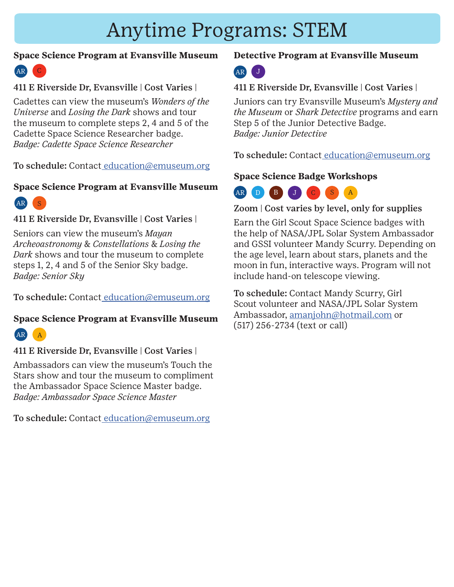## Anytime Programs: STEM

### **Space Science Program at Evansville Museum**



### 411 E Riverside Dr, Evansville | Cost Varies |

Cadettes can view the museum's *Wonders of the Universe* and *Losing the Dark* shows and tour the museum to complete steps 2, 4 and 5 of the Cadette Space Science Researcher badge. *Badge: Cadette Space Science Researcher*

To schedule: Contac[t education@emuseum.org](mailto: education@emuseum.org)

### **Space Science Program at Evansville Museum**



411 E Riverside Dr, Evansville | Cost Varies |

Seniors can view the museum's *Mayan Archeoastronomy* & *Constellations* & *Losing the Dark* shows and tour the museum to complete steps 1, 2, 4 and 5 of the Senior Sky badge. *Badge: Senior Sky*

To schedule: Contac[t education@emuseum.org](mailto: education@emuseum.org)

### **Space Science Program at Evansville Museum**



411 E Riverside Dr, Evansville | Cost Varies |

Ambassadors can view the museum's Touch the Stars show and tour the museum to compliment the Ambassador Space Science Master badge. *Badge: Ambassador Space Science Master*

To schedule: Contac[t education@emuseum.org](mailto: education@emuseum.org)

### **Detective Program at Evansville Museum**

### AR J

411 E Riverside Dr, Evansville | Cost Varies |

Juniors can try Evansville Museum's *Mystery and the Museum* or *Shark Detective* programs and earn Step 5 of the Junior Detective Badge. *Badge: Junior Detective*

To schedule: Contac[t education@emuseum.org](mailto: education@emuseum.org)

### **Space Science Badge Workshops**



Zoom | Cost varies by level, only for supplies

Earn the Girl Scout Space Science badges with the help of NASA/JPL Solar System Ambassador and GSSI volunteer Mandy Scurry. Depending on the age level, learn about stars, planets and the moon in fun, interactive ways. Program will not include hand-on telescope viewing.

To schedule: Contact Mandy Scurry, Girl Scout volunteer and NASA/JPL Solar System Ambassador, [amanjohn@hotmail.com](mailto:amanjohn@hotmail.com) or (517) 256-2734 (text or call)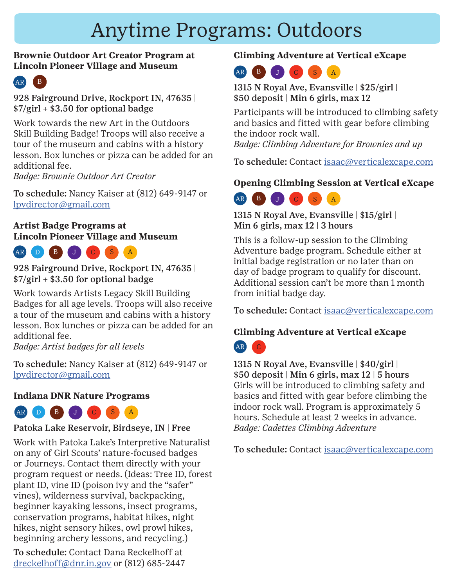## Anytime Programs: Outdoors

### **Brownie Outdoor Art Creator Program at Lincoln Pioneer Village and Museum**



928 Fairground Drive, Rockport IN, 47635 |  $$7$ /girl + \$3.50 for optional badge

Work towards the new Art in the Outdoors Skill Building Badge! Troops will also receive a tour of the museum and cabins with a history lesson. Box lunches or pizza can be added for an additional fee.

*Badge: Brownie Outdoor Art Creator*

To schedule: Nancy Kaiser at (812) 649-9147 or [lpvdirector@gmail.com](mailto:lpvdirector@gmail.com)

### **Artist Badge Programs at Lincoln Pioneer Village and Museum**



928 Fairground Drive, Rockport IN, 47635 |  $$7$ /girl + \$3.50 for optional badge

Work towards Artists Legacy Skill Building Badges for all age levels. Troops will also receive a tour of the museum and cabins with a history lesson. Box lunches or pizza can be added for an additional fee.

*Badge: Artist badges for all levels*

To schedule: Nancy Kaiser at (812) 649-9147 or [lpvdirector@gmail.com](mailto:lpvdirector@gmail.com)

### **Indiana DNR Nature Programs**



### Patoka Lake Reservoir, Birdseye, IN | Free

Work with Patoka Lake's Interpretive Naturalist on any of Girl Scouts' nature-focused badges or Journeys. Contact them directly with your program request or needs. (Ideas: Tree ID, forest plant ID, vine ID (poison ivy and the "safer" vines), wilderness survival, backpacking, beginner kayaking lessons, insect programs, conservation programs, habitat hikes, night hikes, night sensory hikes, owl prowl hikes, beginning archery lessons, and recycling.)

To schedule: Contact Dana Reckelhoff at dreckelhoff@dnr.in.gov or (812) 685-2447

### **Climbing Adventure at Vertical eXcape**

### AR B J C S A

1315 N Royal Ave, Evansville | \$25/girl | \$50 deposit | Min 6 girls, max 12

Participants will be introduced to climbing safety and basics and fitted with gear before climbing the indoor rock wall.

*Badge: Climbing Adventure for Brownies and up*

To schedule: Contact [isaac@verticalexcape.com](mailto:isaac@verticalexcape.com)

### **Opening Climbing Session at Vertical eXcape**

### AR B J C S

1315 N Royal Ave, Evansville | \$15/girl | Min 6 girls, max 12 | 3 hours

This is a follow-up session to the Climbing Adventure badge program. Schedule either at initial badge registration or no later than on day of badge program to qualify for discount. Additional session can't be more than 1 month from initial badge day.

To schedule: Contact [isaac@verticalexcape.com](mailto:isaac@verticalexcape.com)

### **Climbing Adventure at Vertical eXcape**



1315 N Royal Ave, Evansville | \$40/girl | \$50 deposit | Min 6 girls, max 12 | 5 hours Girls will be introduced to climbing safety and basics and fitted with gear before climbing the indoor rock wall. Program is approximately 5 hours. Schedule at least 2 weeks in advance. *Badge: Cadettes Climbing Adventure*

To schedule: Contact [isaac@verticalexcape.com](mailto:isaac@verticalexcape.com)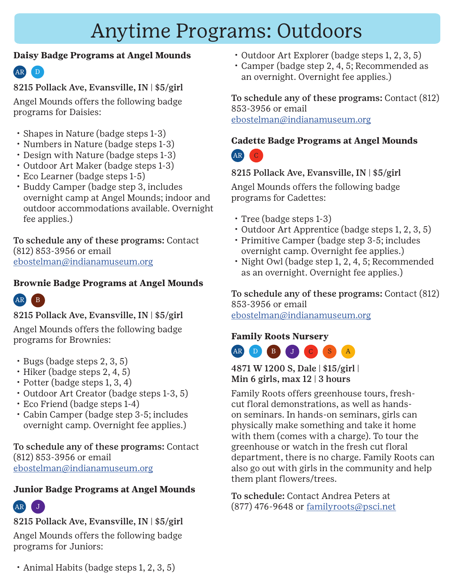### **Daisy Badge Programs at Angel Mounds**

### D AR

8215 Pollack Ave, Evansville, IN | \$5/girl Angel Mounds offers the following badge

programs for Daisies:

- Shapes in Nature (badge steps 1-3)
- Numbers in Nature (badge steps 1-3)
- Design with Nature (badge steps 1-3)
- Outdoor Art Maker (badge steps 1-3)
- Eco Learner (badge steps 1-5)
- Buddy Camper (badge step 3, includes overnight camp at Angel Mounds; indoor and outdoor accommodations available. Overnight fee applies.)

To schedule any of these programs: Contact (812) 853-3956 or email [ebostelman@indianamuseum.org](mailto:ebostelman@indianamuseum.org)

### **Brownie Badge Programs at Angel Mounds**



8215 Pollack Ave, Evansville, IN | \$5/girl

Angel Mounds offers the following badge programs for Brownies:

- Bugs (badge steps 2, 3, 5)
- Hiker (badge steps 2, 4, 5)
- Potter (badge steps 1, 3, 4)
- Outdoor Art Creator (badge steps 1-3, 5)
- Eco Friend (badge steps 1-4)
- Cabin Camper (badge step 3-5; includes overnight camp. Overnight fee applies.)

To schedule any of these programs: Contact (812) 853-3956 or email [ebostelman@indianamuseum.org](mailto:ebostelman@indianamuseum.org)

### **Junior Badge Programs at Angel Mounds**

## AR J

### 8215 Pollack Ave, Evansville, IN | \$5/girl

Angel Mounds offers the following badge programs for Juniors:

- Outdoor Art Explorer (badge steps 1, 2, 3, 5)
- Camper (badge step 2, 4, 5; Recommended as an overnight. Overnight fee applies.)

To schedule any of these programs: Contact (812) 853-3956 or email

[ebostelman@indianamuseum.org](mailto:ebostelman@indianamuseum.org)

### **Cadette Badge Programs at Angel Mounds**  $AR$

### 8215 Pollack Ave, Evansville, IN | \$5/girl

Angel Mounds offers the following badge programs for Cadettes:

- Tree (badge steps 1-3)
- Outdoor Art Apprentice (badge steps 1, 2, 3, 5)
- Primitive Camper (badge step 3-5; includes overnight camp. Overnight fee applies.)
- Night Owl (badge step 1, 2, 4, 5; Recommended as an overnight. Overnight fee applies.)

To schedule any of these programs: Contact (812) 853-3956 or email

[ebostelman@indianamuseum.org](mailto:ebostelman@indianamuseum.org)

### **Family Roots Nursery** AR D B J C S

### 4871 W 1200 S, Dale | \$15/girl | Min 6 girls, max 12 | 3 hours

Family Roots offers greenhouse tours, freshcut floral demonstrations, as well as handson seminars. In hands-on seminars, girls can physically make something and take it home with them (comes with a charge). To tour the greenhouse or watch in the fresh cut floral department, there is no charge. Family Roots can also go out with girls in the community and help them plant flowers/trees.

To schedule: Contact Andrea Peters at (877) 476-9648 or [familyroots@psci.net](mailto:familyroots@psci.net)

• Animal Habits (badge steps 1, 2, 3, 5)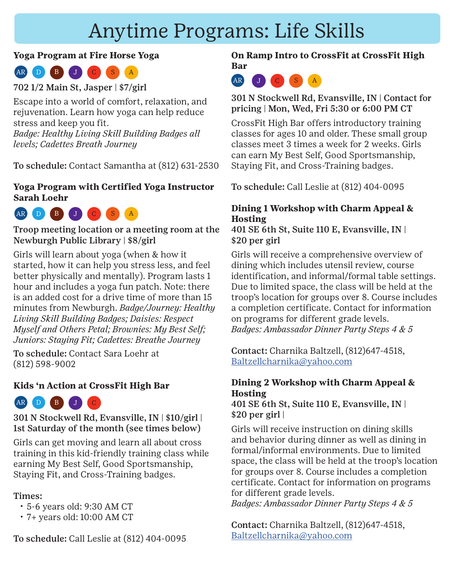### **Yoga Program at Fire Horse Yoga**



702 1/2 Main St, Jasper | \$7/girl

Escape into a world of comfort, relaxation, and rejuvenation. Learn how yoga can help reduce stress and keep you fit. *Badge: Healthy Living Skill Building Badges all levels; Cadettes Breath Journey*

To schedule: Contact Samantha at (812) 631-2530

### **Yoga Program with Certified Yoga Instructor Sarah Loehr**



Troop meeting location or a meeting room at the Newburgh Public Library | \$8/girl

Girls will learn about yoga (when & how it started, how it can help you stress less, and feel better physically and mentally). Program lasts 1 hour and includes a yoga fun patch. Note: there is an added cost for a drive time of more than 15 minutes from Newburgh. *Badge/Journey: Healthy Living Skill Building Badges; Daisies: Respect Myself and Others Petal; Brownies: My Best Self; Juniors: Staying Fit; Cadettes: Breathe Journey*

To schedule: Contact Sara Loehr at (812) 598-9002

### **Kids 'n Action at CrossFit High Bar**



301 N Stockwell Rd, Evansville, IN | \$10/girl | 1st Saturday of the month (see times below)

Girls can get moving and learn all about cross training in this kid-friendly training class while earning My Best Self, Good Sportsmanship, Staying Fit, and Cross-Training badges.

### Times:

- 5-6 years old: 9:30 AM CT
- 7+ years old: 10:00 AM CT

To schedule: Call Leslie at (812) 404-0095

**On Ramp Intro to CrossFit at CrossFit High Bar**



301 N Stockwell Rd, Evansville, IN | Contact for pricing | Mon, Wed, Fri 5:30 or 6:00 PM CT

CrossFit High Bar offers introductory training classes for ages 10 and older. These small group classes meet 3 times a week for 2 weeks. Girls can earn My Best Self, Good Sportsmanship, Staying Fit, and Cross-Training badges.

To schedule: Call Leslie at (812) 404-0095

### **Dining 1 Workshop with Charm Appeal & Hosting**

401 SE 6th St, Suite 110 E, Evansville, IN | \$20 per girl

Girls will receive a comprehensive overview of dining which includes utensil review, course identification, and informal/formal table settings. Due to limited space, the class will be held at the troop's location for groups over 8. Course includes a completion certificate. Contact for information on programs for different grade levels. *Badges: Ambassador Dinner Party Steps 4 & 5*

Contact: Charnika Baltzell, (812)647-4518, [Baltzellcharnika@yahoo.com](mailto:Baltzellcharnika@yahoo.com)

### **Dining 2 Workshop with Charm Appeal & Hosting**

401 SE 6th St, Suite 110 E, Evansville, IN |  $$20$  per girl |

Girls will receive instruction on dining skills and behavior during dinner as well as dining in formal/informal environments. Due to limited space, the class will be held at the troop's location for groups over 8. Course includes a completion certificate. Contact for information on programs for different grade levels.

*Badges: Ambassador Dinner Party Steps 4 & 5*

Contact: Charnika Baltzell, (812)647-4518, [Baltzellcharnika@yahoo.com](mailto:Baltzellcharnika@yahoo.com)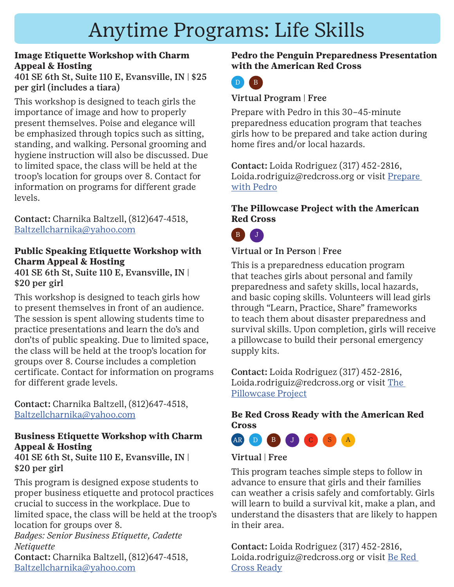### **Image Etiquette Workshop with Charm Appeal & Hosting**

401 SE 6th St, Suite 110 E, Evansville, IN | \$25 per girl (includes a tiara)

This workshop is designed to teach girls the importance of image and how to properly present themselves. Poise and elegance will be emphasized through topics such as sitting, standing, and walking. Personal grooming and hygiene instruction will also be discussed. Due to limited space, the class will be held at the troop's location for groups over 8. Contact for information on programs for different grade levels.

Contact: Charnika Baltzell, (812)647-4518, [Baltzellcharnika@yahoo.com](mailto:Baltzellcharnika@yahoo.com)

#### **Public Speaking Etiquette Workshop with Charm Appeal & Hosting** 401 SE 6th St, Suite 110 E, Evansville, IN |

\$20 per girl

This workshop is designed to teach girls how to present themselves in front of an audience. The session is spent allowing students time to practice presentations and learn the do's and don'ts of public speaking. Due to limited space, the class will be held at the troop's location for groups over 8. Course includes a completion certificate. Contact for information on programs for different grade levels.

Contact: Charnika Baltzell, (812)647-4518, [Baltzellcharnika@yahoo.com](mailto:Baltzellcharnika@yahoo.com)

### **Business Etiquette Workshop with Charm Appeal & Hosting**

401 SE 6th St, Suite 110 E, Evansville, IN | \$20 per girl

This program is designed expose students to proper business etiquette and protocol practices crucial to success in the workplace. Due to limited space, the class will be held at the troop's location for groups over 8.

*Badges: Senior Business Etiquette, Cadette Netiquette*

Contact: Charnika Baltzell, (812)647-4518, [Baltzellcharnika@yahoo.com](mailto:Baltzellcharnika@yahoo.com)

### **Pedro the Penguin Preparedness Presentation with the American Red Cross**



### Virtual Program | Free

Prepare with Pedro in this 30–45-minute preparedness education program that teaches girls how to be prepared and take action during home fires and/or local hazards.

Contact: Loida Rodriguez (317) 452-2816, Loida.rodriguiz@redcross.org or visit Prepare [with Pedro](https://rdcrss.org/3LJEv2g)

### **The Pillowcase Project with the American Red Cross**



### Virtual or In Person | Free

This is a preparedness education program that teaches girls about personal and family preparedness and safety skills, local hazards, and basic coping skills. Volunteers will lead girls through "Learn, Practice, Share" frameworks to teach them about disaster preparedness and survival skills. Upon completion, girls will receive a pillowcase to build their personal emergency supply kits.

Contact: Loida Rodriguez (317) 452-2816, Loida.rodriguiz@redcross.org or visit The [Pillowcase Project](https://www.redcross.org/get-help/how-to-prepare-for-emergencies/teaching-kids-about-emergency-preparedness/pillowcase-project.html)

### **Be Red Cross Ready with the American Red Cross**



### Virtual | Free

This program teaches simple steps to follow in advance to ensure that girls and their families can weather a crisis safely and comfortably. Girls will learn to build a survival kit, make a plan, and understand the disasters that are likely to happen in their area.

Contact: Loida Rodriguez (317) 452-2816, Loida.rodriguiz@redcross.org or visit Be Red Cross Ready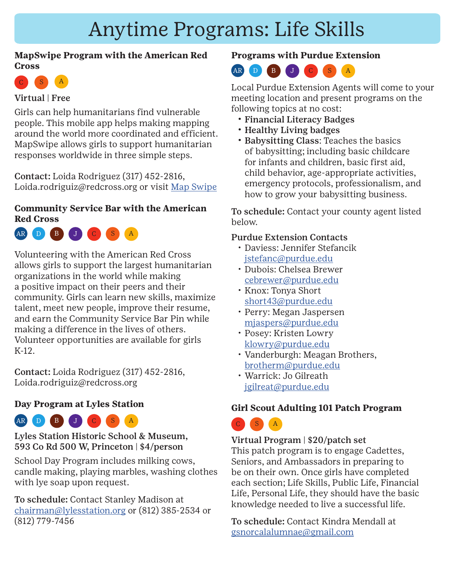### **MapSwipe Program with the American Red Cross**



### Virtual | Free

Girls can help humanitarians find vulnerable people. This mobile app helps making mapping around the world more coordinated and efficient. MapSwipe allows girls to support humanitarian responses worldwide in three simple steps.

Contact: Loida Rodriguez (317) 452-2816, Loida.rodriguiz@redcross.org or visit Map Swipe

### **Community Service Bar with the American Red Cross**



Volunteering with the American Red Cross allows girls to support the largest humanitarian organizations in the world while making a positive impact on their peers and their community. Girls can learn new skills, maximize talent, meet new people, improve their resume, and earn the Community Service Bar Pin while making a difference in the lives of others. Volunteer opportunities are available for girls K-12.

Contact: Loida Rodriguez (317) 452-2816, Loida.rodriguiz@redcross.org

### **Day Program at Lyles Station**



Lyles Station Historic School & Museum, 593 Co Rd 500 W, Princeton | \$4/person

School Day Program includes milking cows, candle making, playing marbles, washing clothes with lye soap upon request.

To schedule: Contact Stanley Madison at [chairman@lylesstation.org](mailto:chairman@lylesstation.org) or (812) 385-2534 or (812) 779-7456

### **Programs with Purdue Extension**



Local Purdue Extension Agents will come to your meeting location and present programs on the following topics at no cost:

- Financial Literacy Badges
- Healthy Living badges
- Babysitting Class: Teaches the basics of babysitting; including basic childcare for infants and children, basic first aid, child behavior, age-appropriate activities, emergency protocols, professionalism, and how to grow your babysitting business.

To schedule: Contact your county agent listed below.

#### Purdue Extension Contacts

- Daviess: Jennifer Stefancik [jstefanc@purdue.edu](mailto:jstefanc@purdue.edu)
- Dubois: Chelsea Brewer [cebrewer@purdue.edu](mailto:cebrewer@purdue.edu)
- Knox: Tonya Short [short43@purdue.edu](mailto:short43@purdue.edu)
- Perry: Megan Jaspersen [mjaspers@purdue.edu](mailto:mjaspers@purdue.edu)
- Posey: Kristen Lowry [klowry@purdue.edu](mailto:klowry@purdue.edu)
- Vanderburgh: Meagan Brothers, [brotherm@purdue.edu](mailto:brotherm@purdue.edu)
- Warrick: Jo Gilreath [jgilreat@purdue.edu](mailto:jgilreat@purdue.edu)

### **Girl Scout Adulting 101 Patch Program**



Virtual Program | \$20/patch set This patch program is to engage Cadettes, Seniors, and Ambassadors in preparing to be on their own. Once girls have completed each section; Life Skills, Public Life, Financial Life, Personal Life, they should have the basic knowledge needed to live a successful life.

To schedule: Contact Kindra Mendall at [gsnorcalalumnae@gmail.com](mailto:gsnorcalalumnae@gmail.com)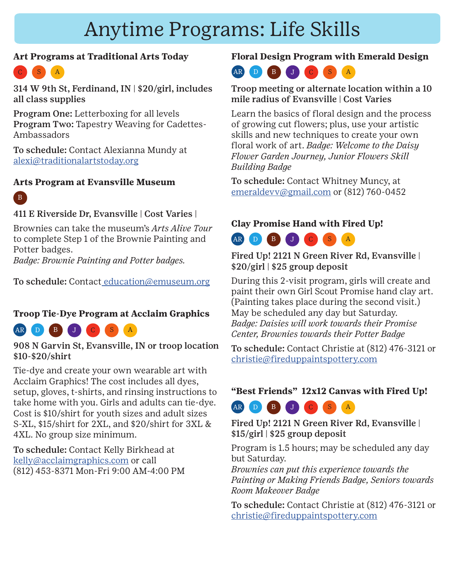### **Art Programs at Traditional Arts Today**



314 W 9th St, Ferdinand, IN | \$20/girl, includes all class supplies

Program One: Letterboxing for all levels Program Two: Tapestry Weaving for Cadettes-Ambassadors

To schedule: Contact Alexianna Mundy at [alexi@traditionalartstoday.org](mailto:alexi@traditionalartstoday.org )

### **Arts Program at Evansville Museum**



### 411 E Riverside Dr, Evansville | Cost Varies |

Brownies can take the museum's *Arts Alive Tour*  to complete Step 1 of the Brownie Painting and Potter badges.

*Badge: Brownie Painting and Potter badges.*

To schedule: Contac[t education@emuseum.org](mailto: education@emuseum.org)

### **Troop Tie-Dye Program at Acclaim Graphics**

AR D B J C S A

908 N Garvin St, Evansville, IN or troop location \$10-\$20/shirt

Tie-dye and create your own wearable art with Acclaim Graphics! The cost includes all dyes, setup, gloves, t-shirts, and rinsing instructions to take home with you. Girls and adults can tie-dye. Cost is \$10/shirt for youth sizes and adult sizes S-XL, \$15/shirt for 2XL, and \$20/shirt for 3XL & 4XL. No group size minimum.

To schedule: Contact Kelly Birkhead at [kelly@acclaimgraphics.com](mailto:kelly@acclaimgraphics.com) or call (812) 453-8371 Mon-Fri 9:00 AM-4:00 PM

### **Floral Design Program with Emerald Design**



#### Troop meeting or alternate location within a 10 mile radius of Evansville | Cost Varies

Learn the basics of floral design and the process of growing cut flowers; plus, use your artistic skills and new techniques to create your own floral work of art. *Badge: Welcome to the Daisy Flower Garden Journey, Junior Flowers Skill Building Badge*

To schedule: Contact Whitney Muncy, at [emeraldevv@gmail.com](mailto:emeraldevv@gmail.com) or (812) 760-0452

### **Clay Promise Hand with Fired Up!**



Fired Up! 2121 N Green River Rd, Evansville | \$20/girl | \$25 group deposit

During this 2-visit program, girls will create and paint their own Girl Scout Promise hand clay art. (Painting takes place during the second visit.) May be scheduled any day but Saturday. *Badge: Daisies will work towards their Promise Center, Brownies towards their Potter Badge*

To schedule: Contact Christie at (812) 476-3121 or [christie@fireduppaintspottery.com](mailto:christie%40fireduppaintspottery.com?subject=)

### **"Best Friends" 12x12 Canvas with Fired Up!**



Fired Up! 2121 N Green River Rd, Evansville | \$15/girl | \$25 group deposit

Program is 1.5 hours; may be scheduled any day but Saturday.

*Brownies can put this experience towards the Painting or Making Friends Badge, Seniors towards Room Makeover Badge*

To schedule: Contact Christie at (812) 476-3121 or [christie@fireduppaintspottery.com](mailto:christie%40fireduppaintspottery.com?subject=)